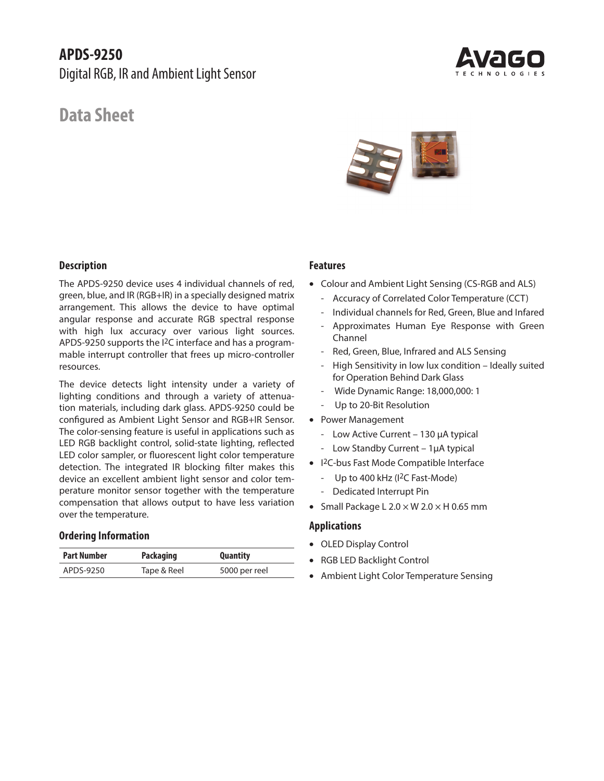# **APDS-9250**

Digital RGB, IR and Ambient Light Sensor

# **Data Sheet**





#### **Description**

The APDS-9250 device uses 4 individual channels of red, green, blue, and IR (RGB+IR) in a specially designed matrix arrangement. This allows the device to have optimal angular response and accurate RGB spectral response with high lux accuracy over various light sources. APDS-9250 supports the I2C interface and has a programmable interrupt controller that frees up micro-controller resources.

The device detects light intensity under a variety of lighting conditions and through a variety of attenuation materials, including dark glass. APDS-9250 could be configured as Ambient Light Sensor and RGB+IR Sensor. The color-sensing feature is useful in applications such as LED RGB backlight control, solid-state lighting, reflected LED color sampler, or fluorescent light color temperature detection. The integrated IR blocking filter makes this device an excellent ambient light sensor and color temperature monitor sensor together with the temperature compensation that allows output to have less variation over the temperature.

#### **Ordering Information**

| Part Number | <b>Packaging</b> | <b>Quantity</b> |
|-------------|------------------|-----------------|
| APDS-9250   | Tape & Reel      | 5000 per reel   |

#### **Features**

- Colour and Ambient Light Sensing (CS-RGB and ALS)
	- Accuracy of Correlated Color Temperature (CCT)
	- Individual channels for Red, Green, Blue and Infared
	- Approximates Human Eye Response with Green Channel
	- Red, Green, Blue, Infrared and ALS Sensing
	- High Sensitivity in low lux condition Ideally suited for Operation Behind Dark Glass
	- Wide Dynamic Range: 18,000,000: 1
	- Up to 20-Bit Resolution
- Power Management
	- Low Active Current 130 μA typical
	- Low Standby Current 1μA typical
- I 2C-bus Fast Mode Compatible Interface
	- Up to 400 kHz (I<sup>2</sup>C Fast-Mode)
	- Dedicated Interrupt Pin
- Small Package L  $2.0 \times W$  2.0  $\times$  H 0.65 mm

#### **Applications**

- OLED Display Control
- RGB LED Backlight Control
- Ambient Light Color Temperature Sensing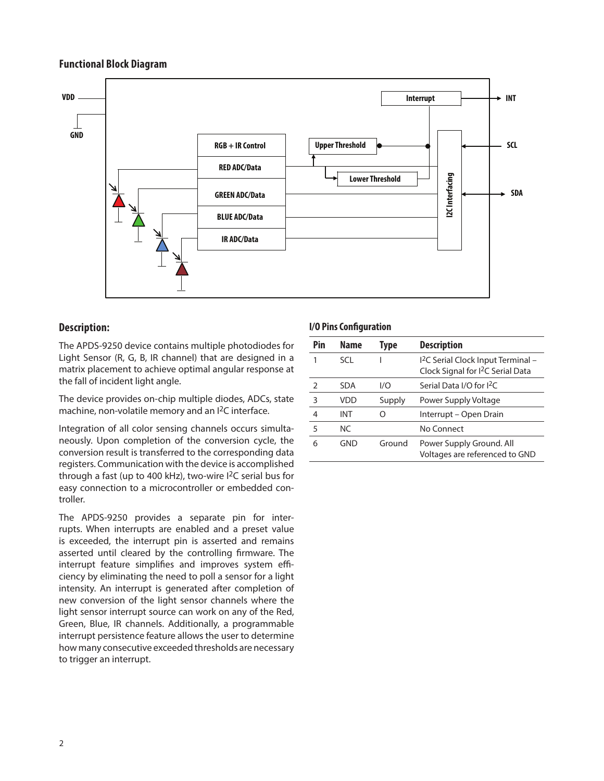#### **Functional Block Diagram**



## **Description:**

The APDS-9250 device contains multiple photodiodes for Light Sensor (R, G, B, IR channel) that are designed in a matrix placement to achieve optimal angular response at the fall of incident light angle.

The device provides on-chip multiple diodes, ADCs, state machine, non-volatile memory and an I2C interface.

Integration of all color sensing channels occurs simultaneously. Upon completion of the conversion cycle, the conversion result is transferred to the corresponding data registers. Communication with the device is accomplished through a fast (up to 400 kHz), two-wire  $1^2C$  serial bus for easy connection to a microcontroller or embedded controller.

The APDS-9250 provides a separate pin for interrupts. When interrupts are enabled and a preset value is exceeded, the interrupt pin is asserted and remains asserted until cleared by the controlling firmware. The interrupt feature simplifies and improves system efficiency by eliminating the need to poll a sensor for a light intensity. An interrupt is generated after completion of new conversion of the light sensor channels where the light sensor interrupt source can work on any of the Red, Green, Blue, IR channels. Additionally, a programmable interrupt persistence feature allows the user to determine how many consecutive exceeded thresholds are necessary to trigger an interrupt.

#### **I/O Pins Configuration**

| Pin | Name       | Type   | <b>Description</b>                                                                             |
|-----|------------|--------|------------------------------------------------------------------------------------------------|
|     | SCI.       |        | <sup>12</sup> C Serial Clock Input Terminal -<br>Clock Signal for I <sup>2</sup> C Serial Data |
| 2   | <b>SDA</b> | 1/O    | Serial Data I/O for I <sup>2</sup> C                                                           |
| 3   | VDD        | Supply | Power Supply Voltage                                                                           |
| 4   | INT        |        | Interrupt – Open Drain                                                                         |
| 5   | NC.        |        | No Connect                                                                                     |
| 6   | GND        | Ground | Power Supply Ground. All<br>Voltages are referenced to GND                                     |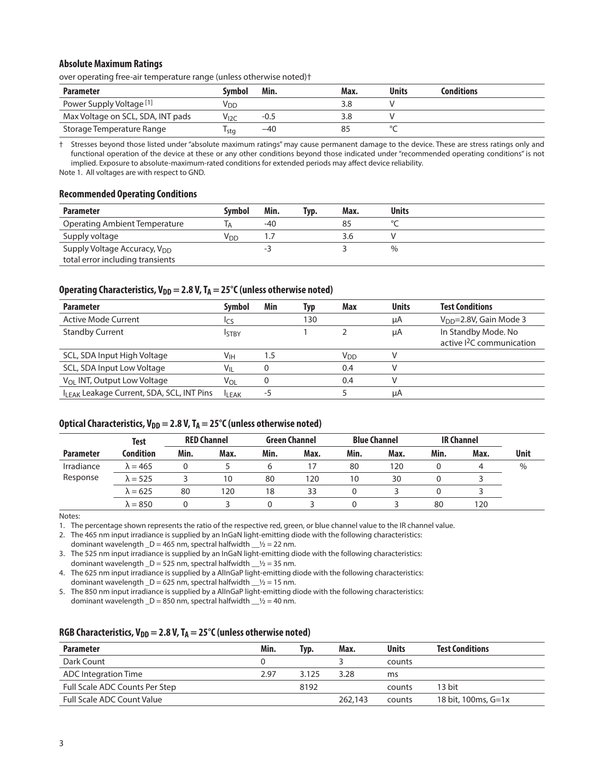#### **Absolute Maximum Ratings**

over operating free-air temperature range (unless otherwise noted)†

| <b>Parameter</b>                    | Svmbol           | Min.  | Max. | <b>Units</b> | <b>Conditions</b> |
|-------------------------------------|------------------|-------|------|--------------|-------------------|
| Power Supply Voltage <sup>[1]</sup> | VDD              |       | 3.8  |              |                   |
| Max Voltage on SCL, SDA, INT pads   | V <sub>I2C</sub> | -0.5  | 3.8  |              |                   |
| Storage Temperature Range           | l stq            | $-40$ |      |              |                   |

† Stresses beyond those listed under "absolute maximum ratings" may cause permanent damage to the device. These are stress ratings only and functional operation of the device at these or any other conditions beyond those indicated under "recommended operating conditions" is not implied. Exposure to absolute-maximum-rated conditions for extended periods may affect device reliability.

Note 1. All voltages are with respect to GND.

#### **Recommended Operating Conditions**

| <b>Parameter</b>                                                             | <b>Symbol</b> | Min. | Tvp. | Max. | <b>Units</b> |
|------------------------------------------------------------------------------|---------------|------|------|------|--------------|
| Operating Ambient Temperature                                                |               | -40  |      | 85   |              |
| Supply voltage                                                               | Vnn           |      |      | 3.6  |              |
| Supply Voltage Accuracy, V <sub>DD</sub><br>total error including transients |               | - ≺  |      |      | $\%$         |

#### Operating Characteristics,  $V_{DD} = 2.8 V$ ,  $T_A = 25°C$  (unless otherwise noted)

| <b>Parameter</b>                                       | <b>Symbol</b>              | Min | Typ | Max             | <b>Units</b> | <b>Test Conditions</b>                                     |
|--------------------------------------------------------|----------------------------|-----|-----|-----------------|--------------|------------------------------------------------------------|
| Active Mode Current                                    | lcs                        |     | 130 |                 | μA           | $V_{DD} = 2.8V$ , Gain Mode 3                              |
| <b>Standby Current</b>                                 | <b>ISTBY</b>               |     |     |                 | μA           | In Standby Mode. No<br>active <sup>2</sup> C communication |
| SCL, SDA Input High Voltage                            | Vıн                        | 1.5 |     | V <sub>DD</sub> |              |                                                            |
| SCL, SDA Input Low Voltage                             | $\mathsf{V}_{\mathsf{IL}}$ |     |     | 0.4             |              |                                                            |
| V <sub>OL</sub> INT, Output Low Voltage                | V <sub>OL</sub>            |     |     | 0.4             |              |                                                            |
| I <sub>I FAK</sub> Leakage Current, SDA, SCL, INT Pins | <b>ILEAK</b>               | -5  |     |                 | μA           |                                                            |

#### Optical Characteristics, V<sub>DD</sub> = 2.8 V, T<sub>A</sub> = 25<sup>°</sup>C (unless otherwise noted)

|                  | Test             |      | <b>RED Channel</b> |      | <b>Green Channel</b> |      | <b>Blue Channel</b> |      | <b>IR Channel</b> |             |
|------------------|------------------|------|--------------------|------|----------------------|------|---------------------|------|-------------------|-------------|
| <b>Parameter</b> | <b>Condition</b> | Min. | Max.               | Min. | Max.                 | Min. | Max.                | Min. | Max.              | <b>Unit</b> |
| Irradiance       | $\lambda = 465$  |      |                    |      |                      | 80   | 120                 |      |                   | $\%$        |
| Response         | $\lambda = 525$  |      | 10                 | 80   | 120                  | 10   | 30                  |      |                   |             |
|                  | $\lambda = 625$  | 80   | 120                | 18   | 33                   |      |                     |      |                   |             |
|                  | $\lambda = 850$  |      |                    |      |                      |      |                     | 80   | 20                |             |

Notes:

1. The percentage shown represents the ratio of the respective red, green, or blue channel value to the IR channel value.

2. The 465 nm input irradiance is supplied by an InGaN light-emitting diode with the following characteristics: dominant wavelength  $D = 465$  nm, spectral halfwidth  $y_2 = 22$  nm.

3. The 525 nm input irradiance is supplied by an InGaN light-emitting diode with the following characteristics: dominant wavelength  $_D = 525$  nm, spectral halfwidth  $_{22}$  = 35 nm.

4. The 625 nm input irradiance is supplied by a AlInGaP light-emitting diode with the following characteristics: dominant wavelength  $_D = 625$  nm, spectral halfwidth  $_{1/2}$  = 15 nm.

5. The 850 nm input irradiance is supplied by a AlInGaP light-emitting diode with the following characteristics: dominant wavelength  $_D = 850$  nm, spectral halfwidth  $_{22} = 40$  nm.

#### RGB Characteristics,  $V_{DD} = 2.8 V$ ,  $T_A = 25^\circ C$  (unless otherwise noted)

| <b>Parameter</b>               | Min. | Typ.  | Max.    | <b>Units</b> | <b>Test Conditions</b> |
|--------------------------------|------|-------|---------|--------------|------------------------|
| Dark Count                     |      |       |         | counts       |                        |
| ADC Integration Time           | 2.97 | 3.125 | 3.28    | ms           |                        |
| Full Scale ADC Counts Per Step |      | 8192  |         | counts       | 13 bit                 |
| Full Scale ADC Count Value     |      |       | 262.143 | counts       | 18 bit, 100ms, G=1x    |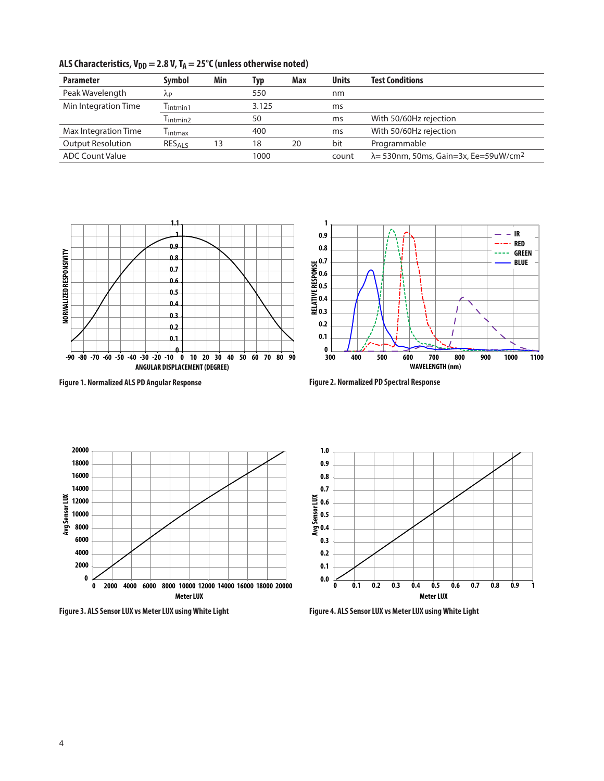| <b>Parameter</b>         | <b>Symbol</b>                   | Min | Typ   | Max | <b>Units</b> | <b>Test Conditions</b>                                    |
|--------------------------|---------------------------------|-----|-------|-----|--------------|-----------------------------------------------------------|
| Peak Wavelength          | ΛP                              |     | 550   |     | nm           |                                                           |
| Min Integration Time     | $l$ intmin1                     |     | 3.125 |     | ms           |                                                           |
|                          | $\mathsf{T}_{\mathsf{intmin2}}$ |     | 50    |     | ms           | With 50/60Hz rejection                                    |
| Max Integration Time     | l intmax                        |     | 400   |     | ms           | With 50/60Hz rejection                                    |
| <b>Output Resolution</b> | RESALS                          | 13  | 18    | 20  | bit          | Programmable                                              |
| <b>ADC Count Value</b>   |                                 |     | 1000  |     | count        | $\lambda$ = 530nm, 50ms, Gain=3x, Ee=59uW/cm <sup>2</sup> |

ALS Characteristics,  $V_{DD} = 2.8 V$ ,  $T_A = 25^\circ C$  (unless otherwise noted)



**Figure 1. Normalized ALS PD Angular Response Figure 2. Normalized PD Spectral Response** 







**Figure 3. ALS Sensor LUX vs Meter LUX using White Light Figure 4. ALS Sensor LUX vs Meter LUX using White Light**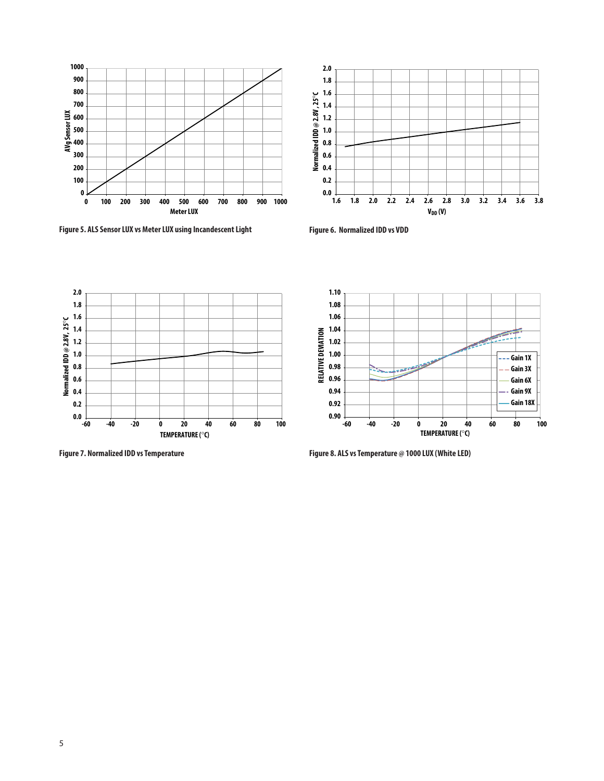

**Figure 5. ALS Sensor LUX vs Meter LUX using Incandescent Light**



**Figure 6. Normalized IDD vs VDD**



**Figure 7. Normalized IDD vs Temperature**



**Figure 8. ALS vs Temperature @ 1000 LUX (White LED)**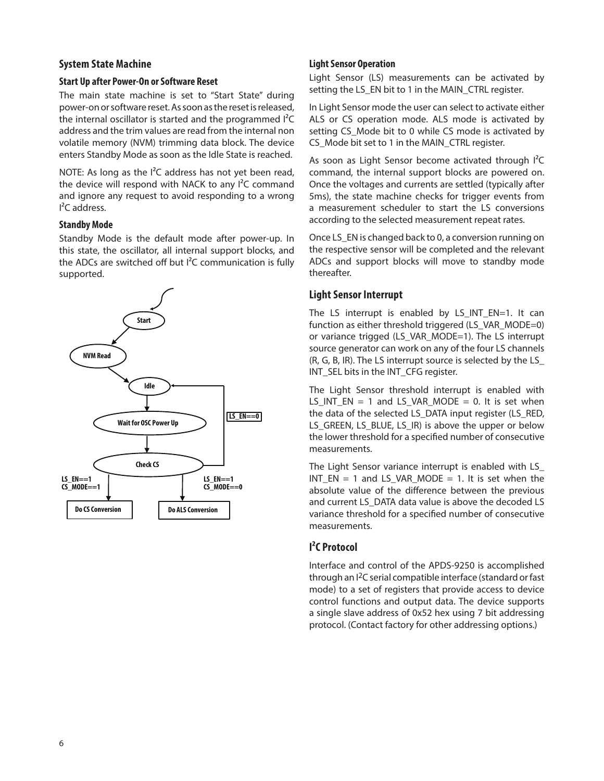#### **System State Machine**

#### **Start Up after Power-On or Software Reset**

The main state machine is set to "Start State" during power-on or software reset. As soon as the reset is released, the internal oscillator is started and the programmed I²C address and the trim values are read from the internal non volatile memory (NVM) trimming data block. The device enters Standby Mode as soon as the Idle State is reached.

NOTE: As long as the I<sup>2</sup>C address has not yet been read, the device will respond with NACK to any I²C command and ignore any request to avoid responding to a wrong I²C address.

#### **Standby Mode**

Standby Mode is the default mode after power-up. In this state, the oscillator, all internal support blocks, and the ADCs are switched off but I²C communication is fully supported.



#### **Light Sensor Operation**

Light Sensor (LS) measurements can be activated by setting the LS\_EN bit to 1 in the MAIN\_CTRL register.

In Light Sensor mode the user can select to activate either ALS or CS operation mode. ALS mode is activated by setting CS\_Mode bit to 0 while CS mode is activated by CS\_Mode bit set to 1 in the MAIN\_CTRL register.

As soon as Light Sensor become activated through I<sup>2</sup>C command, the internal support blocks are powered on. Once the voltages and currents are settled (typically after 5ms), the state machine checks for trigger events from a measurement scheduler to start the LS conversions according to the selected measurement repeat rates.

Once LS\_EN is changed back to 0, a conversion running on the respective sensor will be completed and the relevant ADCs and support blocks will move to standby mode thereafter.

## **Light Sensor Interrupt**

The LS interrupt is enabled by LS\_INT\_EN=1. It can function as either threshold triggered (LS\_VAR\_MODE=0) or variance trigged (LS\_VAR\_MODE=1). The LS interrupt source generator can work on any of the four LS channels (R, G, B, IR). The LS interrupt source is selected by the LS\_ INT\_SEL bits in the INT\_CFG register.

The Light Sensor threshold interrupt is enabled with  $LS_INT_EN = 1$  and  $LS_VAR_MODE = 0$ . It is set when the data of the selected LS\_DATA input register (LS\_RED, LS\_GREEN, LS\_BLUE, LS\_IR) is above the upper or below the lower threshold for a specified number of consecutive measurements.

The Light Sensor variance interrupt is enabled with LS\_  $INT\_EN = 1$  and  $LS\_VAR\_MODE = 1$ . It is set when the absolute value of the difference between the previous and current LS\_DATA data value is above the decoded LS variance threshold for a specified number of consecutive measurements.

# **I²C Protocol**

Interface and control of the APDS-9250 is accomplished through an I2C serial compatible interface (standard or fast mode) to a set of registers that provide access to device control functions and output data. The device supports a single slave address of 0x52 hex using 7 bit addressing protocol. (Contact factory for other addressing options.)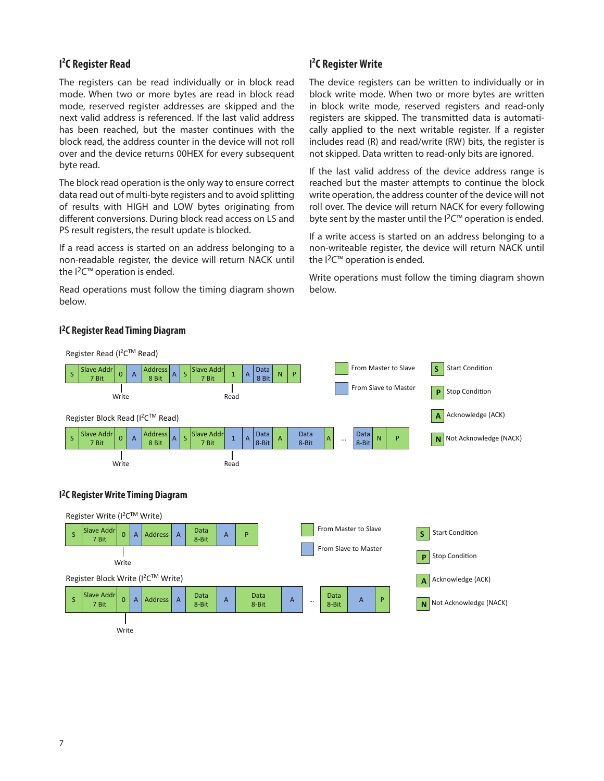## **I²C Register Read**

The registers can be read individually or in block read mode. When two or more bytes are read in block read mode, reserved register addresses are skipped and the next valid address is referenced. If the last valid address has been reached, but the master continues with the block read, the address counter in the device will not roll over and the device returns 00HEX for every subsequent byte read.

The block read operation is the only way to ensure correct data read out of multi-byte registers and to avoid splitting of results with HIGH and LOW bytes originating from different conversions. During block read access on LS and PS result registers, the result update is blocked.

If a read access is started on an address belonging to a non-readable register, the device will return NACK until the I<sup>2</sup>C<sup>™</sup> operation is ended.

Read operations must follow the timing diagram shown below.

## **I²C Register Write**

The device registers can be written to individually or in block write mode. When two or more bytes are written in block write mode, reserved registers and read-only registers are skipped. The transmitted data is automatically applied to the next writable register. If a register includes read (R) and read/write (RW) bits, the register is not skipped. Data written to read-only bits are ignored.

If the last valid address of the device address range is reached but the master attempts to continue the block write operation, the address counter of the device will not roll over. The device will return NACK for every following byte sent by the master until the  $12<sup>cm</sup>$  operation is ended.

If a write access is started on an address belonging to a non-writeable register, the device will return NACK until the I<sup>2</sup>C<sup>™</sup> operation is ended.

Write operations must follow the timing diagram shown below.



#### **I 2C Register Read Timing Diagram**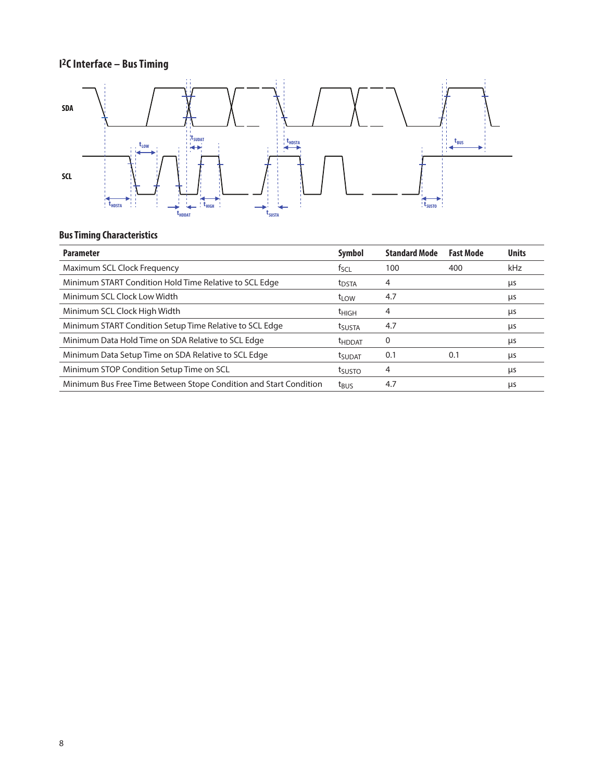# **I2C Interface – Bus Timing**



# **Bus Timing Characteristics**

| Symbol             | <b>Standard Mode</b> | <b>Fast Mode</b> | <b>Units</b> |
|--------------------|----------------------|------------------|--------------|
| tscl               | 100                  | 400              | kHz          |
| t <sub>DSTA</sub>  | 4                    |                  | μs           |
| t <sub>LOW</sub>   | 4.7                  |                  | μs           |
| <sup>t</sup> HIGH  | 4                    |                  | μs           |
| tsusta             | 4.7                  |                  | μs           |
| <b>THDDAT</b>      | 0                    |                  | μs           |
| t <sub>SUDAT</sub> | 0.1                  | 0.1              | μs           |
| tsusto             | 4                    |                  | μs           |
| t <sub>BUS</sub>   | 4.7                  |                  | μs           |
|                    |                      |                  |              |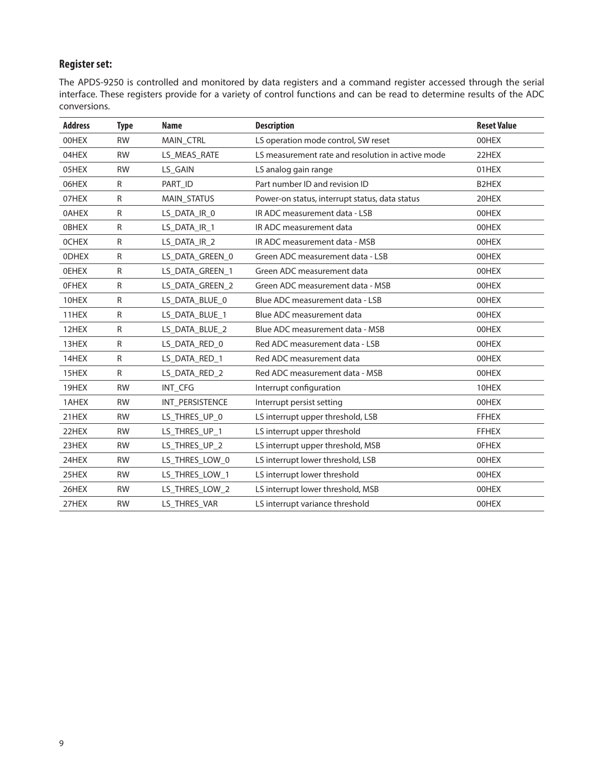# **Register set:**

The APDS-9250 is controlled and monitored by data registers and a command register accessed through the serial interface. These registers provide for a variety of control functions and can be read to determine results of the ADC conversions.

| <b>Address</b> | <b>Type</b>  | <b>Name</b>        | <b>Description</b>                                | <b>Reset Value</b> |
|----------------|--------------|--------------------|---------------------------------------------------|--------------------|
| 00HEX          | <b>RW</b>    | MAIN_CTRL          | LS operation mode control, SW reset               | 00HEX              |
| 04HEX          | <b>RW</b>    | LS_MEAS_RATE       | LS measurement rate and resolution in active mode | 22HEX              |
| 05HEX          | <b>RW</b>    | LS_GAIN            | LS analog gain range                              | 01HEX              |
| 06HEX          | ${\sf R}$    | PART ID            | Part number ID and revision ID                    | B2HEX              |
| 07HEX          | R            | <b>MAIN STATUS</b> | Power-on status, interrupt status, data status    | 20HEX              |
| <b>OAHEX</b>   | $\mathsf{R}$ | LS DATA IR 0       | IR ADC measurement data - LSB                     | 00HEX              |
| <b>OBHEX</b>   | ${\sf R}$    | LS_DATA_IR_1       | IR ADC measurement data                           | 00HEX              |
| <b>OCHEX</b>   | ${\sf R}$    | LS_DATA_IR_2       | IR ADC measurement data - MSB                     | 00HEX              |
| <b>ODHEX</b>   | R            | LS_DATA_GREEN_0    | Green ADC measurement data - LSB                  | 00HEX              |
| <b>OEHEX</b>   | R            | LS DATA GREEN 1    | Green ADC measurement data                        | 00HEX              |
| <b>OFHEX</b>   | ${\sf R}$    | LS_DATA_GREEN_2    | Green ADC measurement data - MSB                  | 00HEX              |
| 10HEX          | ${\sf R}$    | LS_DATA_BLUE_0     | Blue ADC measurement data - LSB                   | 00HEX              |
| 11HEX          | $\mathsf{R}$ | LS_DATA_BLUE_1     | Blue ADC measurement data                         | 00HEX              |
| 12HEX          | R            | LS_DATA_BLUE_2     | Blue ADC measurement data - MSB                   | 00HEX              |
| 13HEX          | ${\sf R}$    | LS DATA RED 0      | Red ADC measurement data - LSB                    | 00HEX              |
| 14HEX          | $\mathsf{R}$ | LS_DATA_RED_1      | Red ADC measurement data                          | 00HEX              |
| 15HEX          | $\mathsf{R}$ | LS_DATA_RED_2      | Red ADC measurement data - MSB                    | 00HEX              |
| 19HEX          | <b>RW</b>    | INT CFG            | Interrupt configuration                           | 10HEX              |
| 1AHEX          | <b>RW</b>    | INT PERSISTENCE    | Interrupt persist setting                         | 00HEX              |
| 21HEX          | <b>RW</b>    | LS_THRES_UP_0      | LS interrupt upper threshold, LSB                 | <b>FFHEX</b>       |
| 22HEX          | <b>RW</b>    | LS_THRES_UP_1      | LS interrupt upper threshold                      | <b>FFHEX</b>       |
| 23HEX          | <b>RW</b>    | LS_THRES_UP_2      | LS interrupt upper threshold, MSB                 | <b>OFHEX</b>       |
| 24HEX          | <b>RW</b>    | LS THRES LOW 0     | LS interrupt lower threshold, LSB                 | 00HEX              |
| 25HEX          | <b>RW</b>    | LS_THRES_LOW_1     | LS interrupt lower threshold                      | 00HEX              |
| 26HEX          | <b>RW</b>    | LS_THRES_LOW_2     | LS interrupt lower threshold, MSB                 | 00HEX              |
| 27HEX          | <b>RW</b>    | LS_THRES_VAR       | LS interrupt variance threshold                   | 00HEX              |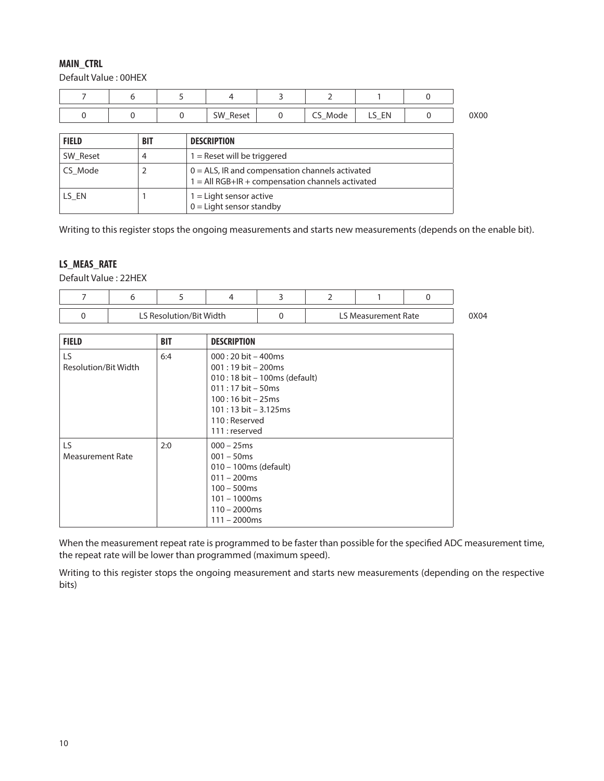#### **MAIN\_CTRL**

Default Value : 00HEX

|  | SW_Reset | ∕_Mode<br>่ | --<br>$ -$ | 0X00 |
|--|----------|-------------|------------|------|

| <b>FIELD</b> | <b>BIT</b> | <b>DESCRIPTION</b>                                                                                         |
|--------------|------------|------------------------------------------------------------------------------------------------------------|
| SW Reset     | 4          | $1 =$ Reset will be triggered                                                                              |
| CS Mode      |            | $0 = ALS$ , IR and compensation channels activated<br>$1 = All RGB + IR + compensation channels activated$ |
| LS EN        |            | $1 =$ Light sensor active<br>$0 =$ Light sensor standby                                                    |

Writing to this register stops the ongoing measurements and starts new measurements (depends on the enable bit).

## **LS\_MEAS\_RATE**

Default Value : 22HEX

|  | LS Resolution/Bit Width |  | LS Measurement Rate | )X04 |
|--|-------------------------|--|---------------------|------|

| <b>FIELD</b>                | <b>BIT</b> | <b>DESCRIPTION</b>                                                                                                                                                                                                            |
|-----------------------------|------------|-------------------------------------------------------------------------------------------------------------------------------------------------------------------------------------------------------------------------------|
| LS.<br>Resolution/Bit Width | 6:4        | $000:20$ bit $-400$ ms<br>$001:19 \text{ bit} - 200 \text{ms}$<br>010 : 18 bit - 100ms (default)<br>$011:17$ bit - 50ms<br>$100:16 \text{ bit} - 25 \text{ms}$<br>$101:13$ bit $-3.125$ ms<br>110 : Reserved<br>111: reserved |
| LS.<br>Measurement Rate     | 2:0        | $000 - 25$ ms<br>$001 - 50$ ms<br>010 - 100ms (default)<br>$011 - 200$ ms<br>$100 - 500$ ms<br>$101 - 1000$ ms<br>$110 - 2000$ ms<br>$111 - 2000$ ms                                                                          |

When the measurement repeat rate is programmed to be faster than possible for the specified ADC measurement time, the repeat rate will be lower than programmed (maximum speed).

Writing to this register stops the ongoing measurement and starts new measurements (depending on the respective bits)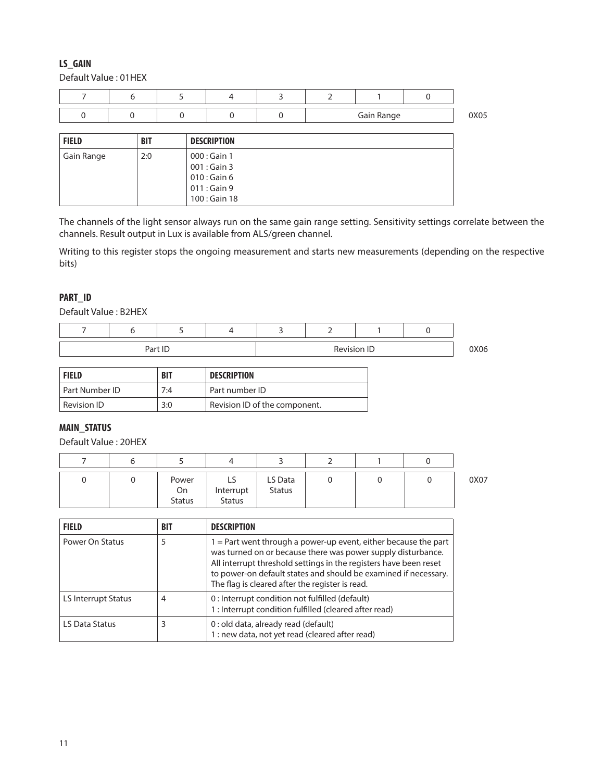## **LS\_GAIN**

Default Value : 01HEX

|  |  |  | Gain Range | 0X05 |
|--|--|--|------------|------|

| <b>FIELD</b> | <b>BIT</b> | <b>DESCRIPTION</b>                                                                |
|--------------|------------|-----------------------------------------------------------------------------------|
| Gain Range   | 2:0        | $000:$ Gain 1<br>$001:$ Gain 3<br>$010:$ Gain 6<br>$011:$ Gain 9<br>100 : Gain 18 |

The channels of the light sensor always run on the same gain range setting. Sensitivity settings correlate between the channels. Result output in Lux is available from ALS/green channel.

Writing to this register stops the ongoing measurement and starts new measurements (depending on the respective bits)

#### **PART\_ID**

Default Value : B2HEX

|  |         | - |             |  |      |
|--|---------|---|-------------|--|------|
|  | Part ID |   | Revision ID |  | 0X06 |

| <b>FIELD</b>   | <b>BIT</b> | <b>DESCRIPTION</b>            |
|----------------|------------|-------------------------------|
| Part Number ID | 7:4        | Part number ID                |
| Revision ID    | 3:0        | Revision ID of the component. |

#### **MAIN\_STATUS**

Default Value : 20HEX

|  | Power<br>On<br><b>Status</b> | ر∟<br>Interrupt<br><b>Status</b> | LS Data<br><b>Status</b> |  | 0X07 |
|--|------------------------------|----------------------------------|--------------------------|--|------|

| <b>FIELD</b>        | <b>BIT</b> | <b>DESCRIPTION</b>                                                                                                                                                                                                                                                                                                           |
|---------------------|------------|------------------------------------------------------------------------------------------------------------------------------------------------------------------------------------------------------------------------------------------------------------------------------------------------------------------------------|
| Power On Status     | 5          | $1 =$ Part went through a power-up event, either because the part<br>was turned on or because there was power supply disturbance.<br>All interrupt threshold settings in the registers have been reset<br>to power-on default states and should be examined if necessary.<br>The flag is cleared after the register is read. |
| LS Interrupt Status | 4          | 0: Interrupt condition not fulfilled (default)<br>1: Interrupt condition fulfilled (cleared after read)                                                                                                                                                                                                                      |
| LS Data Status      |            | 0 : old data, already read (default)<br>1 : new data, not yet read (cleared after read)                                                                                                                                                                                                                                      |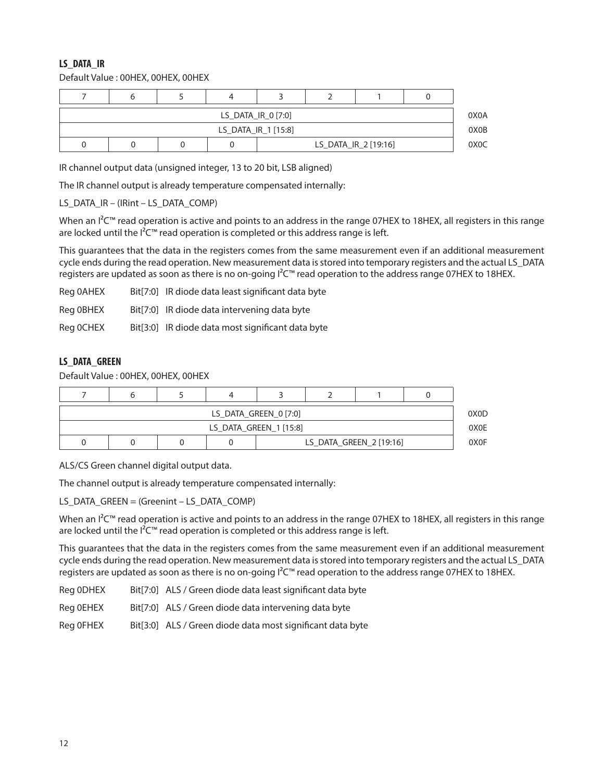## **LS\_DATA\_IR**

Default Value : 00HEX, 00HEX, 00HEX

| LS_DATA_IR_0 [7:0]   |                     |  |  |  |  |  |  |                   |  |
|----------------------|---------------------|--|--|--|--|--|--|-------------------|--|
|                      | LS DATA IR 1 [15:8] |  |  |  |  |  |  |                   |  |
| LS_DATA_IR_2 [19:16] |                     |  |  |  |  |  |  | 0X <sub>0</sub> C |  |

IR channel output data (unsigned integer, 13 to 20 bit, LSB aligned)

The IR channel output is already temperature compensated internally:

LS\_DATA\_IR – (IRint – LS\_DATA\_COMP)

When an  $1^2C^m$  read operation is active and points to an address in the range 07HEX to 18HEX, all registers in this range are locked until the  $I^2C^m$  read operation is completed or this address range is left.

This guarantees that the data in the registers comes from the same measurement even if an additional measurement cycle ends during the read operation. New measurement data is stored into temporary registers and the actual LS\_DATA registers are updated as soon as there is no on-going I²C™ read operation to the address range 07HEX to 18HEX.

| Reg 0AHEX | Bit[7:0] IR diode data least significant data byte |
|-----------|----------------------------------------------------|
| Reg 0BHEX | Bit[7:0] IR diode data intervening data byte       |
| Reg OCHEX | Bit[3:0] IR diode data most significant data byte  |

#### **LS\_DATA\_GREEN**

Default Value : 00HEX, 00HEX, 00HEX

| LS_DATA_GREEN_0 [7:0]   |                        |  |  |  |  |  |  |                  |  |
|-------------------------|------------------------|--|--|--|--|--|--|------------------|--|
|                         | LS DATA GREEN 1 [15:8] |  |  |  |  |  |  |                  |  |
| LS DATA GREEN 2 [19:16] |                        |  |  |  |  |  |  | 0X <sub>OF</sub> |  |

ALS/CS Green channel digital output data.

The channel output is already temperature compensated internally:

LS\_DATA\_GREEN = (Greenint – LS\_DATA\_COMP)

When an  $I^2C™$  read operation is active and points to an address in the range 07HEX to 18HEX, all registers in this range are locked until the  $l^2C^m$  read operation is completed or this address range is left.

This guarantees that the data in the registers comes from the same measurement even if an additional measurement cycle ends during the read operation. New measurement data is stored into temporary registers and the actual LS\_DATA registers are updated as soon as there is no on-going I²C™ read operation to the address range 07HEX to 18HEX.

Reg 0DHEX Bit[7:0] ALS / Green diode data least significant data byte

Reg 0EHEX Bit[7:0] ALS / Green diode data intervening data byte

Reg 0FHEX Bit[3:0] ALS / Green diode data most significant data byte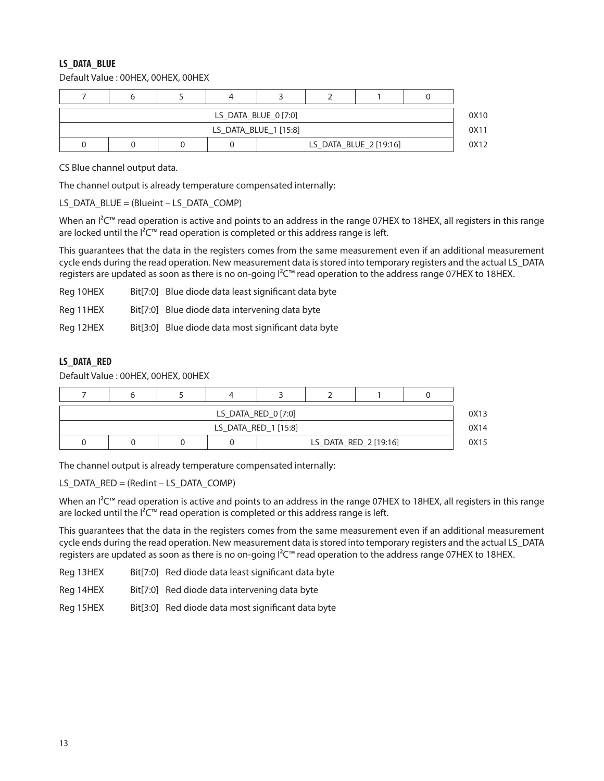#### **LS\_DATA\_BLUE**

Default Value : 00HEX, 00HEX, 00HEX

| LS_DATA_BLUE_0 [7:0]   |                       |  |  |  |  |  |  |  |  |  |
|------------------------|-----------------------|--|--|--|--|--|--|--|--|--|
|                        | LS_DATA_BLUE_1 [15:8] |  |  |  |  |  |  |  |  |  |
| LS_DATA_BLUE_2 [19:16] |                       |  |  |  |  |  |  |  |  |  |

CS Blue channel output data.

The channel output is already temperature compensated internally:

LS\_DATA\_BLUE =  $(B$ lueint – LS\_DATA\_COMP)

When an  $I^2C^m$  read operation is active and points to an address in the range 07HEX to 18HEX, all registers in this range are locked until the  $I^2C^m$  read operation is completed or this address range is left.

This guarantees that the data in the registers comes from the same measurement even if an additional measurement cycle ends during the read operation. New measurement data is stored into temporary registers and the actual LS\_DATA registers are updated as soon as there is no on-going I²C™ read operation to the address range 07HEX to 18HEX.

| Reg 10HEX | Bit[7:0] Blue diode data least significant data byte |
|-----------|------------------------------------------------------|
| Reg 11HEX | Bit[7:0] Blue diode data intervening data byte       |
| Reg 12HEX | Bit[3:0] Blue diode data most significant data byte  |

#### **LS\_DATA\_RED**

Default Value : 00HEX, 00HEX, 00HEX

| LS DATA RED 0 [7:0] |                      |                       |  |  |  |  |  |      |
|---------------------|----------------------|-----------------------|--|--|--|--|--|------|
|                     | LS_DATA_RED_1 [15:8] |                       |  |  |  |  |  |      |
|                     |                      | LS_DATA_RED_2 [19:16] |  |  |  |  |  | 0X15 |

The channel output is already temperature compensated internally:

LS\_DATA\_RED = (Redint – LS\_DATA\_COMP)

When an I<sup>2</sup>C<sup>™</sup> read operation is active and points to an address in the range 07HEX to 18HEX, all registers in this range are locked until the  $l^2C^m$  read operation is completed or this address range is left.

This guarantees that the data in the registers comes from the same measurement even if an additional measurement cycle ends during the read operation. New measurement data is stored into temporary registers and the actual LS\_DATA registers are updated as soon as there is no on-going I<sup>2</sup>C™ read operation to the address range 07HEX to 18HEX.

| Reg 13HEX | Bit[7:0] Red diode data least significant data byte |
|-----------|-----------------------------------------------------|
| Reg 14HEX | Bit[7:0] Red diode data intervening data byte       |
| Reg 15HEX | Bit[3:0] Red diode data most significant data byte  |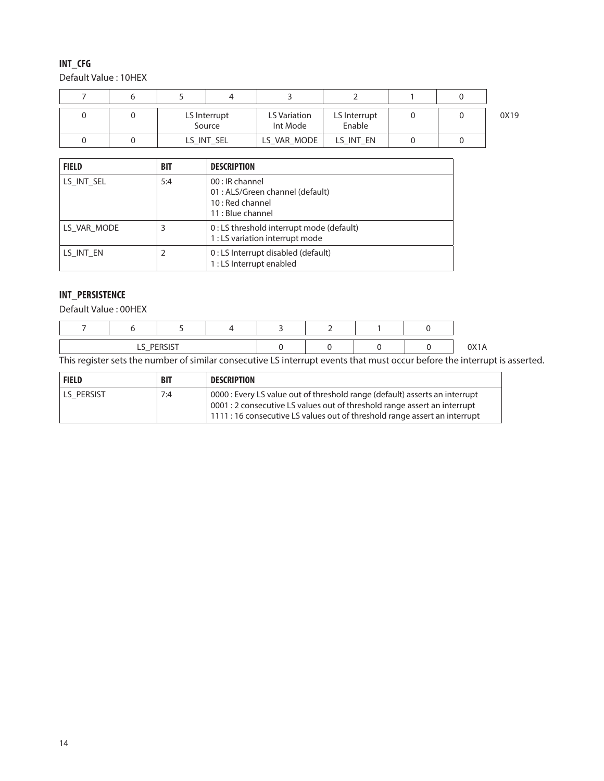## **INT\_CFG**

Default Value : 10HEX

|  | LS Interrupt<br>Source |  | LS Variation<br>Int Mode | LS Interrupt<br>Enable |  | 0X19 |
|--|------------------------|--|--------------------------|------------------------|--|------|
|  | LS INT SEL             |  | LS_VAR_MODE              | LS INT EN              |  |      |

| <b>FIELD</b> | <b>BIT</b> | <b>DESCRIPTION</b>                                                                           |
|--------------|------------|----------------------------------------------------------------------------------------------|
| LS INT SEL   | 5:4        | 00 : IR channel<br>01 : ALS/Green channel (default)<br>10 : Red channel<br>11 : Blue channel |
| LS VAR MODE  | 3          | 0 : LS threshold interrupt mode (default)<br>1: LS variation interrupt mode                  |
| LS INT EN    |            | 0 : LS Interrupt disabled (default)<br>1 : LS Interrupt enabled                              |

# **INT\_PERSISTENCE**

Default Value : 00HEX

| $\sim$ | DEDCICT<br>LS_PERSIST |  |  | $\sim$ |
|--------|-----------------------|--|--|--------|

This register sets the number of similar consecutive LS interrupt events that must occur before the interrupt is asserted.

| <b>FIELD</b> | <b>BIT</b> | <b>DESCRIPTION</b>                                                                                                                                                                                                                            |
|--------------|------------|-----------------------------------------------------------------------------------------------------------------------------------------------------------------------------------------------------------------------------------------------|
| LS PERSIST   | 7:4        | 0000 : Every LS value out of threshold range (default) asserts an interrupt<br>0001 : 2 consecutive LS values out of threshold range assert an interrupt<br>$\mid$ 1111 : 16 consecutive LS values out of threshold range assert an interrupt |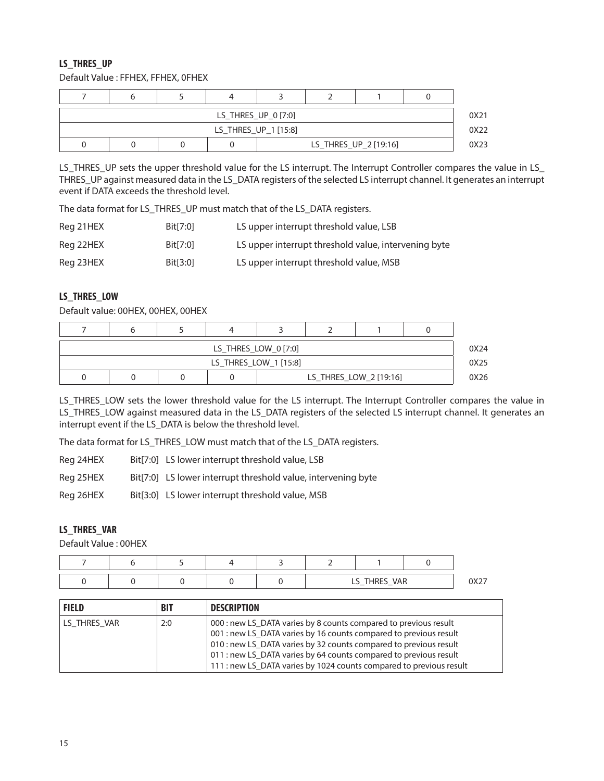#### **LS\_THRES\_UP**

Default Value : FFHEX, FFHEX, 0FHEX

| LS THRES UP 0 [7:0] |                      |  |                       |  |  |  |  |  |  |
|---------------------|----------------------|--|-----------------------|--|--|--|--|--|--|
|                     | LS_THRES_UP_1 [15:8] |  |                       |  |  |  |  |  |  |
|                     |                      |  | LS_THRES_UP_2 [19:16] |  |  |  |  |  |  |

LS\_THRES\_UP sets the upper threshold value for the LS interrupt. The Interrupt Controller compares the value in LS\_ THRES\_UP against measured data in the LS\_DATA registers of the selected LS interrupt channel. It generates an interrupt event if DATA exceeds the threshold level.

The data format for LS\_THRES\_UP must match that of the LS\_DATA registers.

| Reg 21HEX | Bit[7:0] | LS upper interrupt threshold value, LSB              |
|-----------|----------|------------------------------------------------------|
| Reg 22HEX | Bit[7:0] | LS upper interrupt threshold value, intervening byte |
| Reg 23HEX | Bit[3:0] | LS upper interrupt threshold value, MSB              |

#### **LS\_THRES\_LOW**

Default value: 00HEX, 00HEX, 00HEX

| LS_THRES_LOW_0 [7:0] |                       |  |                        |  |  |  |  |      |
|----------------------|-----------------------|--|------------------------|--|--|--|--|------|
|                      | LS_THRES_LOW_1 [15:8] |  |                        |  |  |  |  |      |
|                      |                       |  | LS_THRES_LOW_2 [19:16] |  |  |  |  | 0X26 |

LS\_THRES\_LOW sets the lower threshold value for the LS interrupt. The Interrupt Controller compares the value in LS\_THRES\_LOW against measured data in the LS\_DATA registers of the selected LS interrupt channel. It generates an interrupt event if the LS\_DATA is below the threshold level.

The data format for LS\_THRES\_LOW must match that of the LS\_DATA registers.

Reg 24HEX Bit[7:0] LS lower interrupt threshold value, LSB

Reg 25HEX Bit[7:0] LS lower interrupt threshold value, intervening byte

Reg 26HEX Bit[3:0] LS lower interrupt threshold value, MSB

#### **LS\_THRES\_VAR**

Default Value : 00HEX

|  |  |  | S_THRES_VAR<br>∽ | $\cdots$ |
|--|--|--|------------------|----------|

| <b>FIELD</b> | <b>BIT</b> | <b>DESCRIPTION</b>                                                                                                                                                                                                                                                                                                                                     |
|--------------|------------|--------------------------------------------------------------------------------------------------------------------------------------------------------------------------------------------------------------------------------------------------------------------------------------------------------------------------------------------------------|
| LS THRES VAR | 2:0        | 000 : new LS DATA varies by 8 counts compared to previous result<br>001 : new LS_DATA varies by 16 counts compared to previous result<br>010 : new LS DATA varies by 32 counts compared to previous result<br>011 : new LS DATA varies by 64 counts compared to previous result<br>111 : new LS_DATA varies by 1024 counts compared to previous result |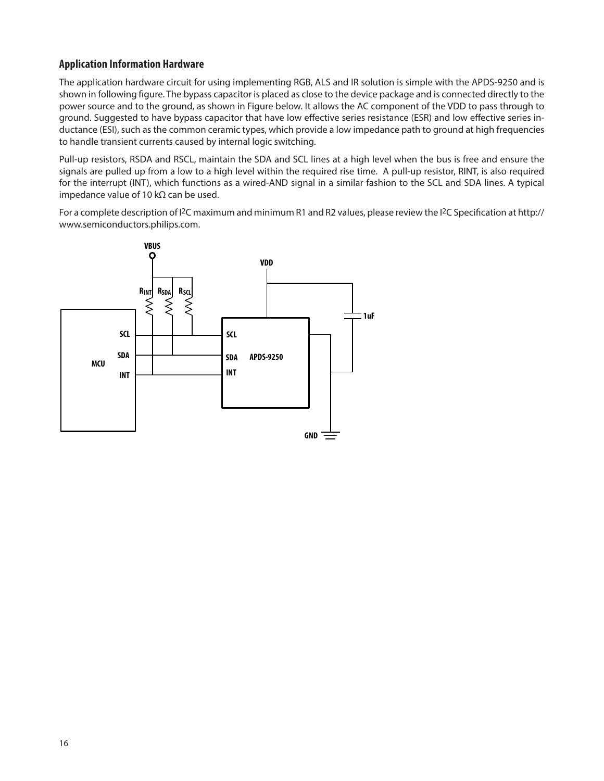## **Application Information Hardware**

The application hardware circuit for using implementing RGB, ALS and IR solution is simple with the APDS-9250 and is shown in following figure. The bypass capacitor is placed as close to the device package and is connected directly to the power source and to the ground, as shown in Figure below. It allows the AC component of the VDD to pass through to ground. Suggested to have bypass capacitor that have low effective series resistance (ESR) and low effective series inductance (ESI), such as the common ceramic types, which provide a low impedance path to ground at high frequencies to handle transient currents caused by internal logic switching.

Pull-up resistors, RSDA and RSCL, maintain the SDA and SCL lines at a high level when the bus is free and ensure the signals are pulled up from a low to a high level within the required rise time. A pull-up resistor, RINT, is also required for the interrupt (INT), which functions as a wired-AND signal in a similar fashion to the SCL and SDA lines. A typical impedance value of 10 kΩ can be used.

For a complete description of  $12C$  maximum and minimum R1 and R2 values, please review the  $12C$  Specification at http:// www.semiconductors.philips.com.

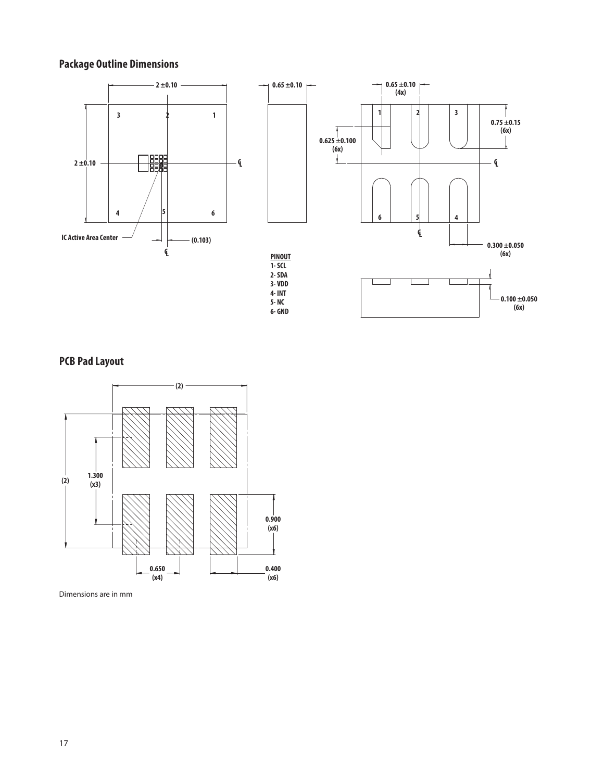# **Package Outline Dimensions**



**PCB Pad Layout**



Dimensions are in mm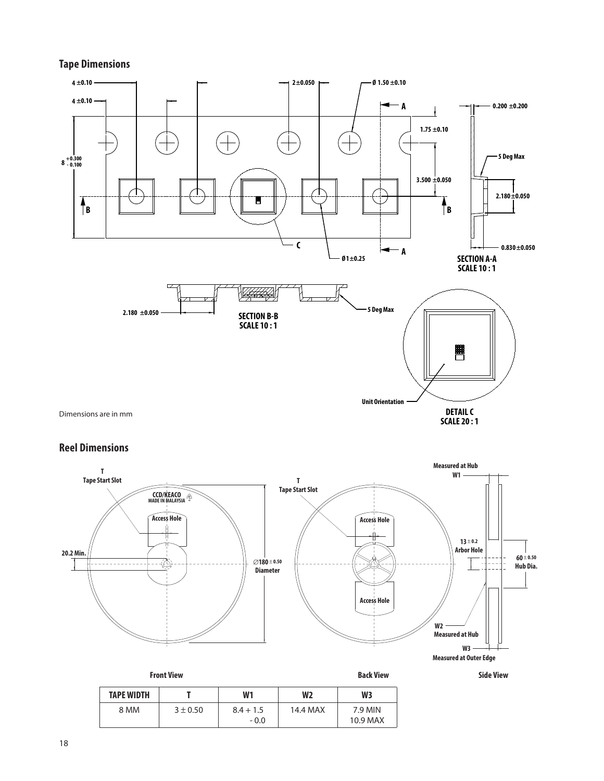#### **Tape Dimensions**



## **Reel Dimensions**





**Front View Back View Side View**

| <b>TAPE WIDTH</b> |            | W1                    | W <sub>2</sub> | W3                  |
|-------------------|------------|-----------------------|----------------|---------------------|
| 8 MM              | $3 + 0.50$ | $8.4 + 1.5$<br>$-0.0$ | 14.4 MAX       | 7.9 MIN<br>10.9 MAX |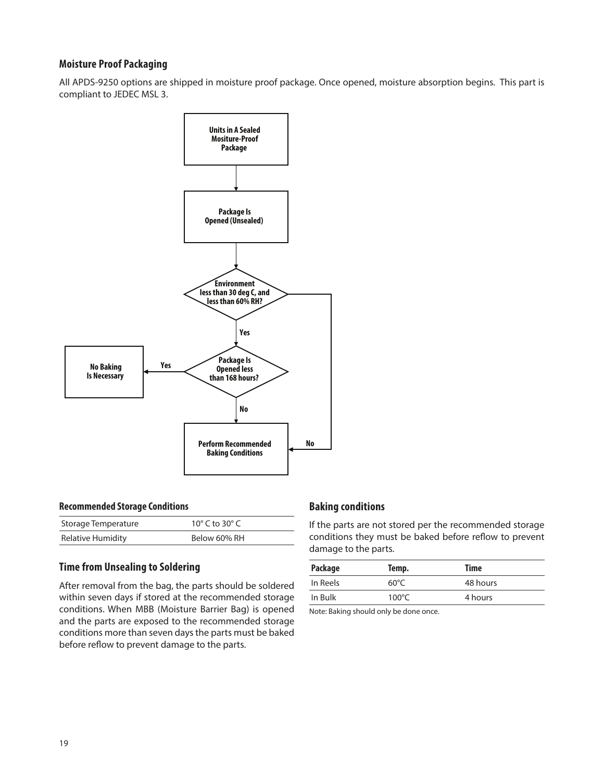## **Moisture Proof Packaging**

All APDS-9250 options are shipped in moisture proof package. Once opened, moisture absorption begins. This part is compliant to JEDEC MSL 3.



#### **Recommended Storage Conditions**

| Storage Temperature | 10 $\degree$ C to 30 $\degree$ C |
|---------------------|----------------------------------|
| Relative Humidity   | Below 60% RH                     |

#### **Time from Unsealing to Soldering**

After removal from the bag, the parts should be soldered within seven days if stored at the recommended storage conditions. When MBB (Moisture Barrier Bag) is opened and the parts are exposed to the recommended storage conditions more than seven days the parts must be baked before reflow to prevent damage to the parts.

#### **Baking conditions**

If the parts are not stored per the recommended storage conditions they must be baked before reflow to prevent damage to the parts.

| <b>Package</b> | Temp.           | Time     |
|----------------|-----------------|----------|
| In Reels       | $60^{\circ}$ C  | 48 hours |
| In Bulk        | $100^{\circ}$ C | 4 hours  |

Note: Baking should only be done once.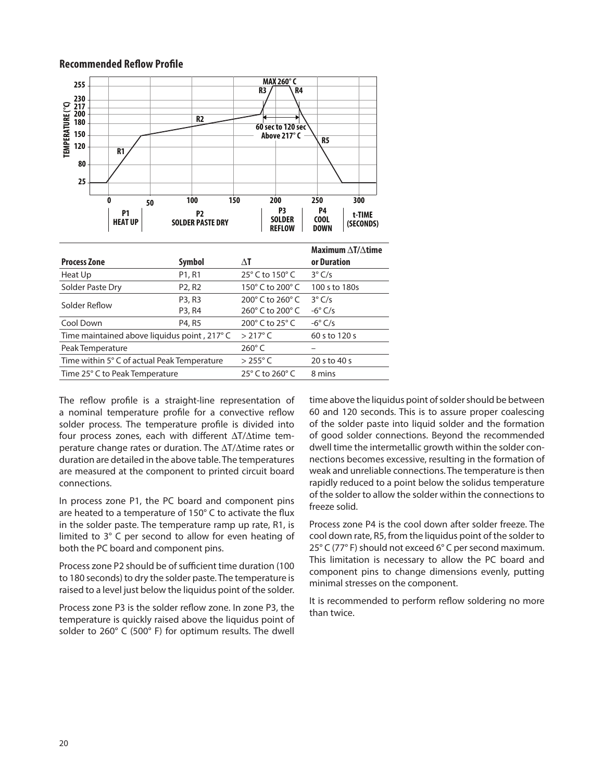#### **Recommended Reflow Profile**



| Solder Reflow                                                           | P3, R3 | 200° C to 260° C 3° C/s              |                |
|-------------------------------------------------------------------------|--------|--------------------------------------|----------------|
|                                                                         | P3, R4 | 260 $^{\circ}$ C to 200 $^{\circ}$ C | $-6^\circ$ C/s |
| Cool Down                                                               | P4, R5 | 200 $^{\circ}$ C to 25 $^{\circ}$ C  | $-6^\circ$ C/s |
| Time maintained above liquidus point, $217^{\circ}$ C $> 217^{\circ}$ C |        |                                      | 60 s to 120 s  |
| Peak Temperature                                                        |        | $260^\circ$ C                        |                |
| Time within 5° C of actual Peak Temperature                             |        | $>255^{\circ}$ C                     | 20 s to 40 s   |
| Time 25° C to Peak Temperature                                          |        | 25 $\degree$ C to 260 $\degree$ C    | 8 mins         |

The reflow profile is a straight-line representation of a nominal temperature profile for a convective reflow solder process. The temperature profile is divided into four process zones, each with different ∆T/∆time temperature change rates or duration. The ∆T/∆time rates or duration are detailed in the above table. The temperatures are measured at the component to printed circuit board connections.

In process zone P1, the PC board and component pins are heated to a temperature of 150° C to activate the flux in the solder paste. The temperature ramp up rate, R1, is limited to 3° C per second to allow for even heating of both the PC board and component pins.

Process zone P2 should be of sufficient time duration (100 to 180 seconds) to dry the solder paste. The temperature is raised to a level just below the liquidus point of the solder.

Process zone P3 is the solder reflow zone. In zone P3, the temperature is quickly raised above the liquidus point of solder to 260° C (500° F) for optimum results. The dwell

time above the liquidus point of solder should be between 60 and 120 seconds. This is to assure proper coalescing of the solder paste into liquid solder and the formation of good solder connections. Beyond the recommended dwell time the intermetallic growth within the solder connections becomes excessive, resulting in the formation of weak and unreliable connections. The temperature is then rapidly reduced to a point below the solidus temperature of the solder to allow the solder within the connections to freeze solid.

Process zone P4 is the cool down after solder freeze. The cool down rate, R5, from the liquidus point of the solder to 25° C (77° F) should not exceed 6° C per second maximum. This limitation is necessary to allow the PC board and component pins to change dimensions evenly, putting minimal stresses on the component.

It is recommended to perform reflow soldering no more than twice.